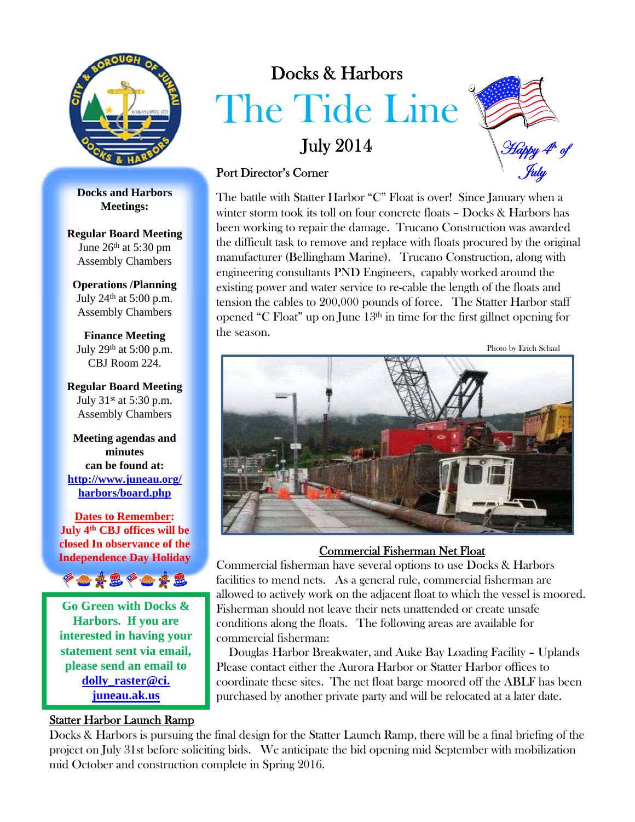

**Docks and Harbors Meetings:**

**Regular Board Meeting** June 26th at 5:30 pm Assembly Chambers

**Operations /Planning** July  $24<sup>th</sup>$  at 5:00 p.m. Assembly Chambers

**Finance Meeting** July 29<sup>th</sup> at 5:00 p.m. CBJ Room 224.

**Regular Board Meeting** July 31st at 5:30 p.m. Assembly Chambers

**Meeting agendas and minutes can be found at: http://www.juneau.org/ harbors/board.php**

**Dates to Remember: July 4th CBJ offices will be closed In observance of the Independence Day Holiday**



**Go Green with Docks & Harbors. If you are interested in having your statement sent via email, please send an email to dolly\_raster@ci. juneau.ak.us**

#### Statter Harbor Launch Ramp

# Docks & Harbors The Tide Line

## July 2014



#### Port Director's Corner

The battle with Statter Harbor "C" Float is over! Since January when a winter storm took its toll on four concrete floats – Docks & Harbors has been working to repair the damage. Trucano Construction was awarded the difficult task to remove and replace with floats procured by the original manufacturer (Bellingham Marine). Trucano Construction, along with engineering consultants PND Engineers, capably worked around the existing power and water service to re-cable the length of the floats and tension the cables to 200,000 pounds of force. The Statter Harbor staff opened "C Float" up on June  $13<sup>th</sup>$  in time for the first gillnet opening for the season.

Photo by Erich Schaal



#### Commercial Fisherman Net Float

Commercial fisherman have several options to use Docks & Harbors facilities to mend nets. As a general rule, commercial fisherman are allowed to actively work on the adjacent float to which the vessel is moored. Fisherman should not leave their nets unattended or create unsafe conditions along the floats. The following areas are available for commercial fisherman:

Douglas Harbor Breakwater, and Auke Bay Loading Facility – Uplands Please contact either the Aurora Harbor or Statter Harbor offices to coordinate these sites. The net float barge moored off the ABLF has been purchased by another private party and will be relocated at a later date.

Docks & Harbors is pursuing the final design for the Statter Launch Ramp, there will be a final briefing of the project on July 31st before soliciting bids. We anticipate the bid opening mid September with mobilization mid October and construction complete in Spring 2016.